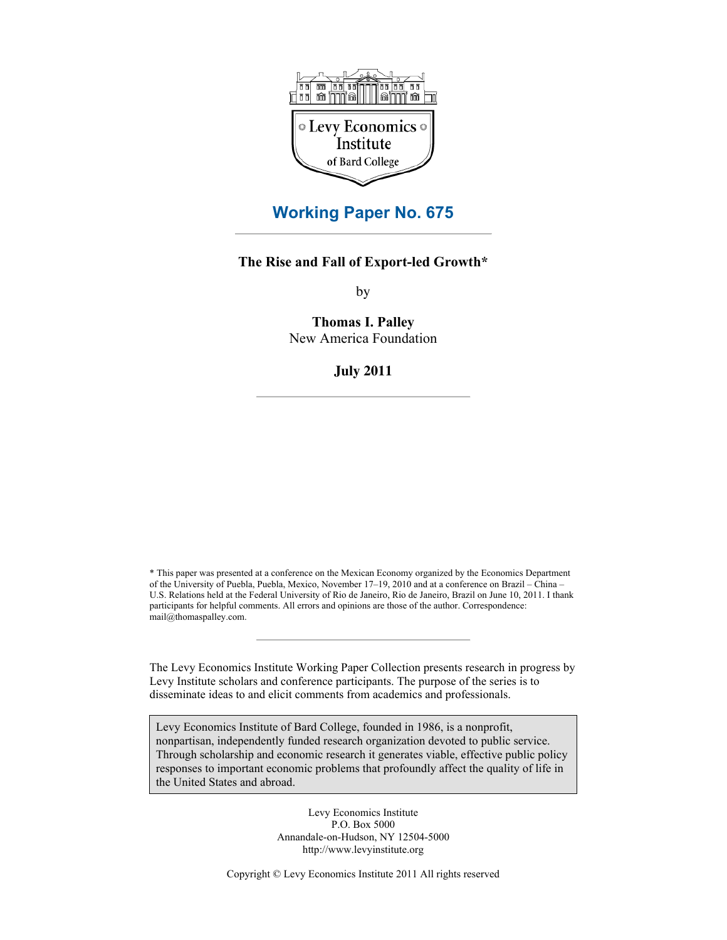

# **Working Paper No. 675**

## **The Rise and Fall of Export-led Growth\***

by

**Thomas I. Palley** New America Foundation

**July 2011**

\* This paper was presented at a conference on the Mexican Economy organized by the Economics Department of the University of Puebla, Puebla, Mexico, November 17–19, 2010 and at a conference on Brazil – China – U.S. Relations held at the Federal University of Rio de Janeiro, Rio de Janeiro, Brazil on June 10, 2011. I thank participants for helpful comments. All errors and opinions are those of the author. Correspondence: mail@thomaspalley.com.

The Levy Economics Institute Working Paper Collection presents research in progress by Levy Institute scholars and conference participants. The purpose of the series is to disseminate ideas to and elicit comments from academics and professionals.

Levy Economics Institute of Bard College, founded in 1986, is a nonprofit, nonpartisan, independently funded research organization devoted to public service. Through scholarship and economic research it generates viable, effective public policy responses to important economic problems that profoundly affect the quality of life in the United States and abroad.

> Levy Economics Institute P.O. Box 5000 Annandale-on-Hudson, NY 12504-5000 http://www.levyinstitute.org

Copyright © Levy Economics Institute 2011 All rights reserved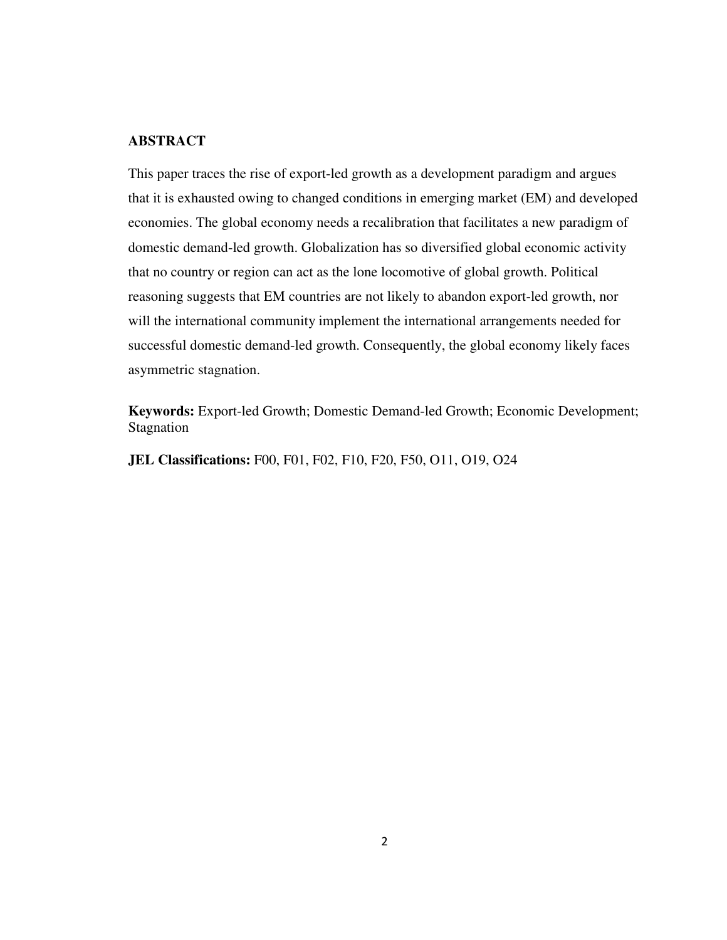## **ABSTRACT**

This paper traces the rise of export-led growth as a development paradigm and argues that it is exhausted owing to changed conditions in emerging market (EM) and developed economies. The global economy needs a recalibration that facilitates a new paradigm of domestic demand-led growth. Globalization has so diversified global economic activity that no country or region can act as the lone locomotive of global growth. Political reasoning suggests that EM countries are not likely to abandon export-led growth, nor will the international community implement the international arrangements needed for successful domestic demand-led growth. Consequently, the global economy likely faces asymmetric stagnation.

**Keywords:** Export-led Growth; Domestic Demand-led Growth; Economic Development; **Stagnation** 

**JEL Classifications:** F00, F01, F02, F10, F20, F50, O11, O19, O24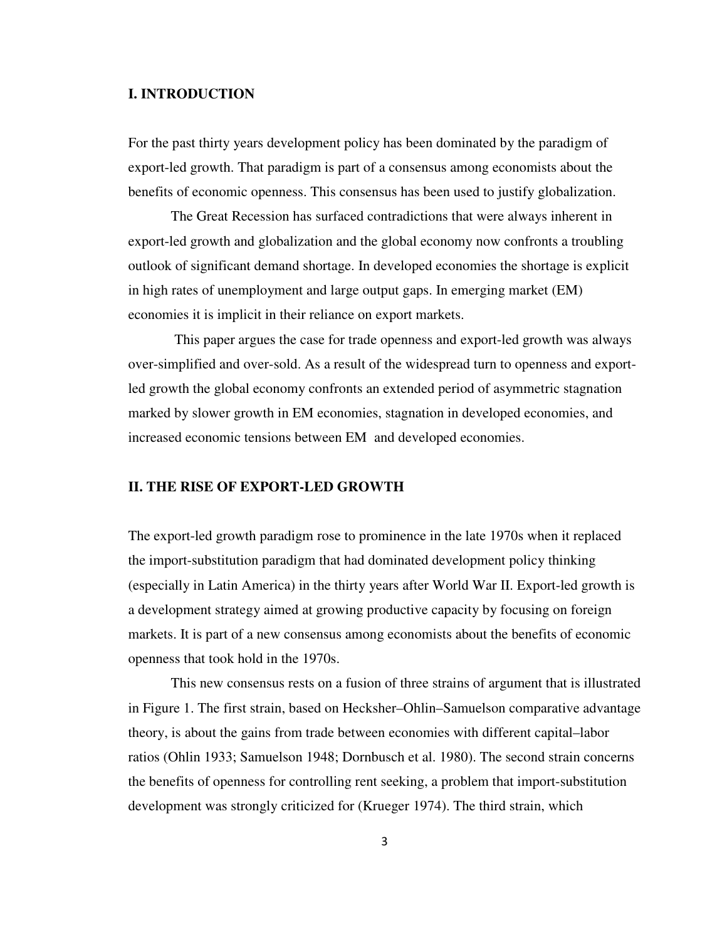## **I. INTRODUCTION**

For the past thirty years development policy has been dominated by the paradigm of export-led growth. That paradigm is part of a consensus among economists about the benefits of economic openness. This consensus has been used to justify globalization.

 The Great Recession has surfaced contradictions that were always inherent in export-led growth and globalization and the global economy now confronts a troubling outlook of significant demand shortage. In developed economies the shortage is explicit in high rates of unemployment and large output gaps. In emerging market (EM) economies it is implicit in their reliance on export markets.

 This paper argues the case for trade openness and export-led growth was always over-simplified and over-sold. As a result of the widespread turn to openness and exportled growth the global economy confronts an extended period of asymmetric stagnation marked by slower growth in EM economies, stagnation in developed economies, and increased economic tensions between EM and developed economies.

### **II. THE RISE OF EXPORT-LED GROWTH**

The export-led growth paradigm rose to prominence in the late 1970s when it replaced the import-substitution paradigm that had dominated development policy thinking (especially in Latin America) in the thirty years after World War II. Export-led growth is a development strategy aimed at growing productive capacity by focusing on foreign markets. It is part of a new consensus among economists about the benefits of economic openness that took hold in the 1970s.

 This new consensus rests on a fusion of three strains of argument that is illustrated in Figure 1. The first strain, based on Hecksher–Ohlin–Samuelson comparative advantage theory, is about the gains from trade between economies with different capital–labor ratios (Ohlin 1933; Samuelson 1948; Dornbusch et al. 1980). The second strain concerns the benefits of openness for controlling rent seeking, a problem that import-substitution development was strongly criticized for (Krueger 1974). The third strain, which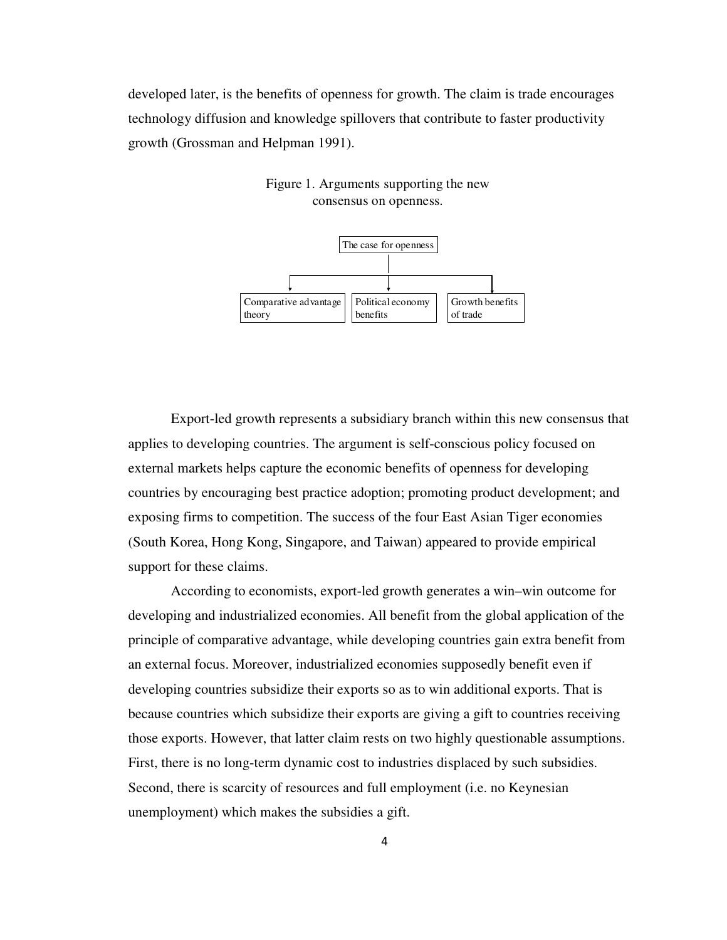developed later, is the benefits of openness for growth. The claim is trade encourages technology diffusion and knowledge spillovers that contribute to faster productivity growth (Grossman and Helpman 1991).





 Export-led growth represents a subsidiary branch within this new consensus that applies to developing countries. The argument is self-conscious policy focused on external markets helps capture the economic benefits of openness for developing countries by encouraging best practice adoption; promoting product development; and exposing firms to competition. The success of the four East Asian Tiger economies (South Korea, Hong Kong, Singapore, and Taiwan) appeared to provide empirical support for these claims.

 According to economists, export-led growth generates a win–win outcome for developing and industrialized economies. All benefit from the global application of the principle of comparative advantage, while developing countries gain extra benefit from an external focus. Moreover, industrialized economies supposedly benefit even if developing countries subsidize their exports so as to win additional exports. That is because countries which subsidize their exports are giving a gift to countries receiving those exports. However, that latter claim rests on two highly questionable assumptions. First, there is no long-term dynamic cost to industries displaced by such subsidies. Second, there is scarcity of resources and full employment (i.e. no Keynesian unemployment) which makes the subsidies a gift.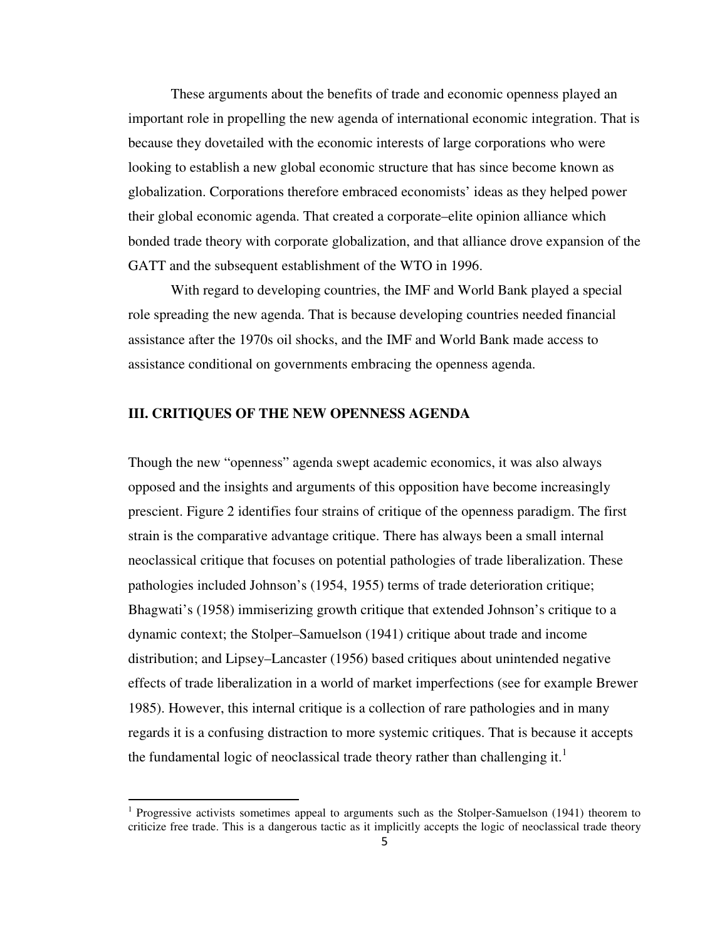These arguments about the benefits of trade and economic openness played an important role in propelling the new agenda of international economic integration. That is because they dovetailed with the economic interests of large corporations who were looking to establish a new global economic structure that has since become known as globalization. Corporations therefore embraced economists' ideas as they helped power their global economic agenda. That created a corporate–elite opinion alliance which bonded trade theory with corporate globalization, and that alliance drove expansion of the GATT and the subsequent establishment of the WTO in 1996.

 With regard to developing countries, the IMF and World Bank played a special role spreading the new agenda. That is because developing countries needed financial assistance after the 1970s oil shocks, and the IMF and World Bank made access to assistance conditional on governments embracing the openness agenda.

## **III. CRITIQUES OF THE NEW OPENNESS AGENDA**

 $\overline{a}$ 

Though the new "openness" agenda swept academic economics, it was also always opposed and the insights and arguments of this opposition have become increasingly prescient. Figure 2 identifies four strains of critique of the openness paradigm. The first strain is the comparative advantage critique. There has always been a small internal neoclassical critique that focuses on potential pathologies of trade liberalization. These pathologies included Johnson's (1954, 1955) terms of trade deterioration critique; Bhagwati's (1958) immiserizing growth critique that extended Johnson's critique to a dynamic context; the Stolper–Samuelson (1941) critique about trade and income distribution; and Lipsey–Lancaster (1956) based critiques about unintended negative effects of trade liberalization in a world of market imperfections (see for example Brewer 1985). However, this internal critique is a collection of rare pathologies and in many regards it is a confusing distraction to more systemic critiques. That is because it accepts the fundamental logic of neoclassical trade theory rather than challenging it.<sup>1</sup>

<sup>1</sup> Progressive activists sometimes appeal to arguments such as the Stolper-Samuelson (1941) theorem to criticize free trade. This is a dangerous tactic as it implicitly accepts the logic of neoclassical trade theory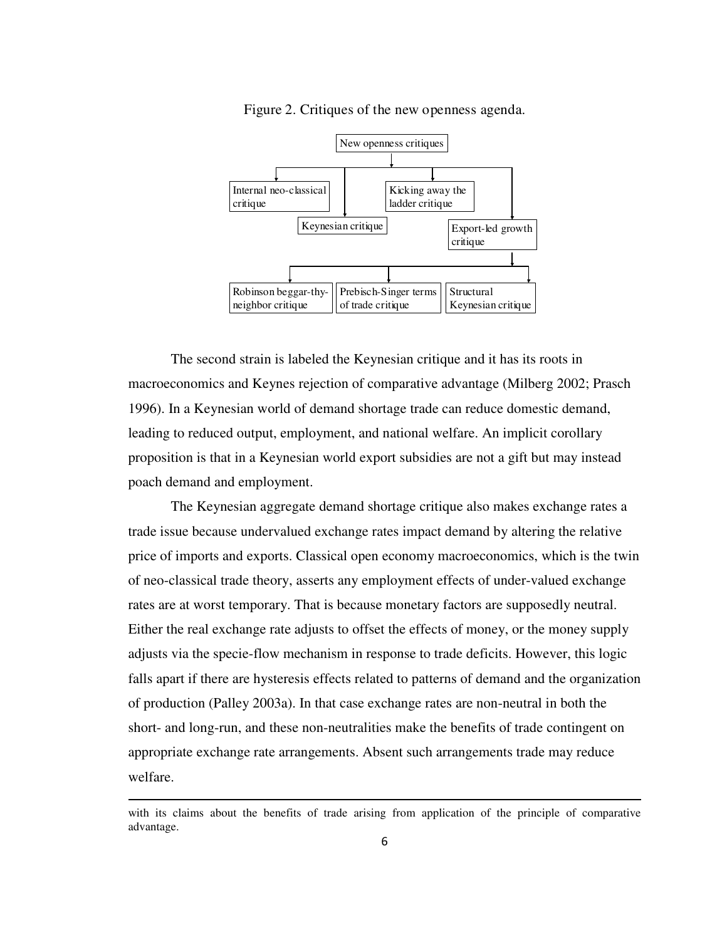

Figure 2. Critiques of the new openness agenda.

 The second strain is labeled the Keynesian critique and it has its roots in macroeconomics and Keynes rejection of comparative advantage (Milberg 2002; Prasch 1996). In a Keynesian world of demand shortage trade can reduce domestic demand, leading to reduced output, employment, and national welfare. An implicit corollary proposition is that in a Keynesian world export subsidies are not a gift but may instead poach demand and employment.

 The Keynesian aggregate demand shortage critique also makes exchange rates a trade issue because undervalued exchange rates impact demand by altering the relative price of imports and exports. Classical open economy macroeconomics, which is the twin of neo-classical trade theory, asserts any employment effects of under-valued exchange rates are at worst temporary. That is because monetary factors are supposedly neutral. Either the real exchange rate adjusts to offset the effects of money, or the money supply adjusts via the specie-flow mechanism in response to trade deficits. However, this logic falls apart if there are hysteresis effects related to patterns of demand and the organization of production (Palley 2003a). In that case exchange rates are non-neutral in both the short- and long-run, and these non-neutralities make the benefits of trade contingent on appropriate exchange rate arrangements. Absent such arrangements trade may reduce welfare.

 $\overline{a}$ 

with its claims about the benefits of trade arising from application of the principle of comparative advantage.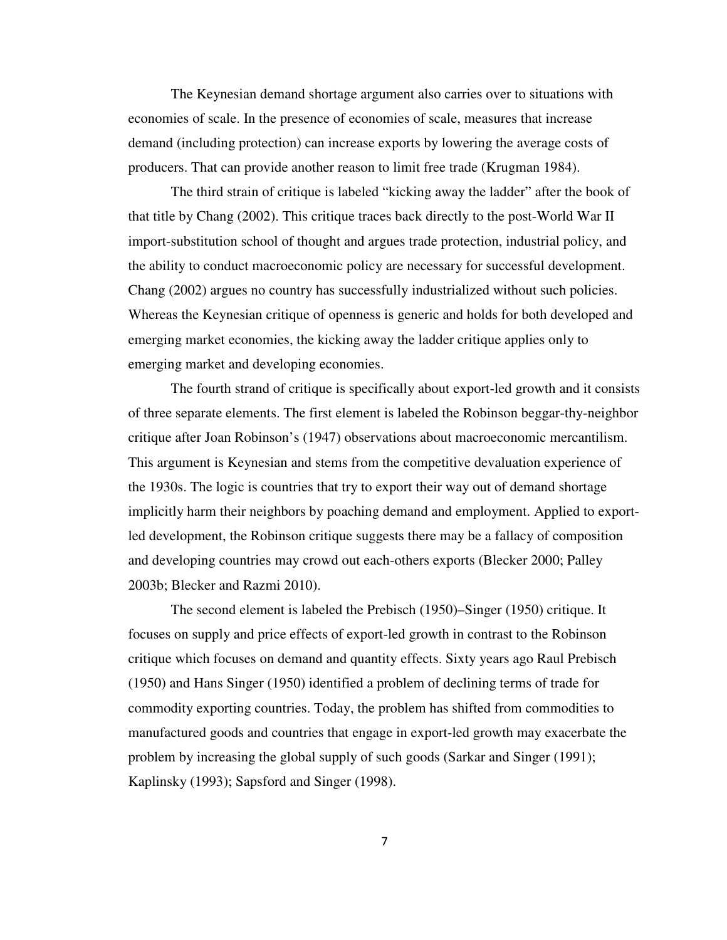The Keynesian demand shortage argument also carries over to situations with economies of scale. In the presence of economies of scale, measures that increase demand (including protection) can increase exports by lowering the average costs of producers. That can provide another reason to limit free trade (Krugman 1984).

 The third strain of critique is labeled "kicking away the ladder" after the book of that title by Chang (2002). This critique traces back directly to the post-World War II import-substitution school of thought and argues trade protection, industrial policy, and the ability to conduct macroeconomic policy are necessary for successful development. Chang (2002) argues no country has successfully industrialized without such policies. Whereas the Keynesian critique of openness is generic and holds for both developed and emerging market economies, the kicking away the ladder critique applies only to emerging market and developing economies.

 The fourth strand of critique is specifically about export-led growth and it consists of three separate elements. The first element is labeled the Robinson beggar-thy-neighbor critique after Joan Robinson's (1947) observations about macroeconomic mercantilism. This argument is Keynesian and stems from the competitive devaluation experience of the 1930s. The logic is countries that try to export their way out of demand shortage implicitly harm their neighbors by poaching demand and employment. Applied to exportled development, the Robinson critique suggests there may be a fallacy of composition and developing countries may crowd out each-others exports (Blecker 2000; Palley 2003b; Blecker and Razmi 2010).

 The second element is labeled the Prebisch (1950)–Singer (1950) critique. It focuses on supply and price effects of export-led growth in contrast to the Robinson critique which focuses on demand and quantity effects. Sixty years ago Raul Prebisch (1950) and Hans Singer (1950) identified a problem of declining terms of trade for commodity exporting countries. Today, the problem has shifted from commodities to manufactured goods and countries that engage in export-led growth may exacerbate the problem by increasing the global supply of such goods (Sarkar and Singer (1991); Kaplinsky (1993); Sapsford and Singer (1998).

7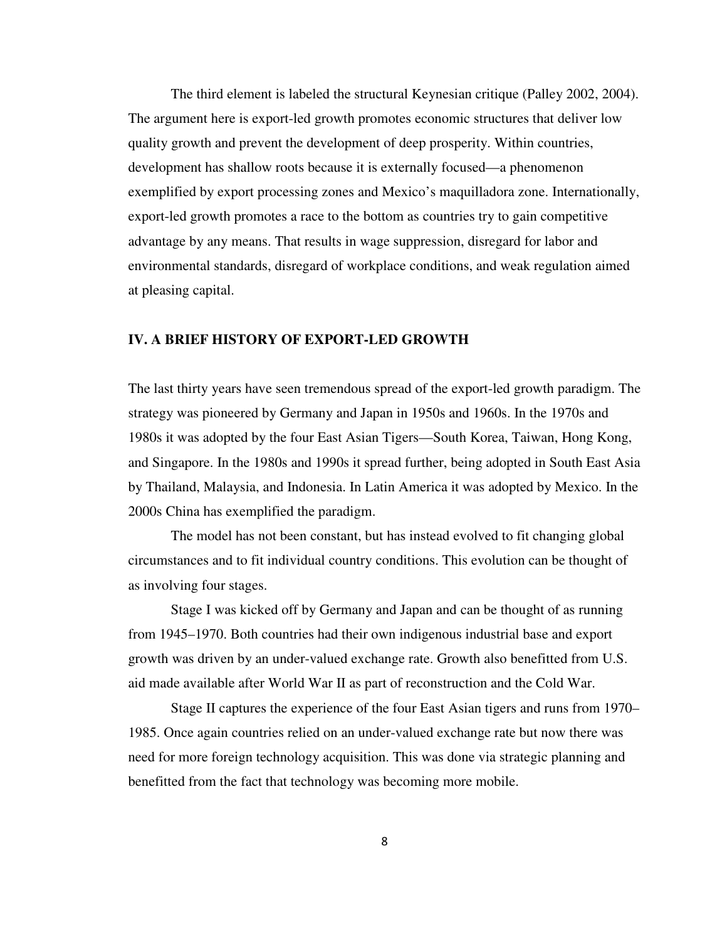The third element is labeled the structural Keynesian critique (Palley 2002, 2004). The argument here is export-led growth promotes economic structures that deliver low quality growth and prevent the development of deep prosperity. Within countries, development has shallow roots because it is externally focused—a phenomenon exemplified by export processing zones and Mexico's maquilladora zone. Internationally, export-led growth promotes a race to the bottom as countries try to gain competitive advantage by any means. That results in wage suppression, disregard for labor and environmental standards, disregard of workplace conditions, and weak regulation aimed at pleasing capital.

## **IV. A BRIEF HISTORY OF EXPORT-LED GROWTH**

The last thirty years have seen tremendous spread of the export-led growth paradigm. The strategy was pioneered by Germany and Japan in 1950s and 1960s. In the 1970s and 1980s it was adopted by the four East Asian Tigers—South Korea, Taiwan, Hong Kong, and Singapore. In the 1980s and 1990s it spread further, being adopted in South East Asia by Thailand, Malaysia, and Indonesia. In Latin America it was adopted by Mexico. In the 2000s China has exemplified the paradigm.

 The model has not been constant, but has instead evolved to fit changing global circumstances and to fit individual country conditions. This evolution can be thought of as involving four stages.

 Stage I was kicked off by Germany and Japan and can be thought of as running from 1945–1970. Both countries had their own indigenous industrial base and export growth was driven by an under-valued exchange rate. Growth also benefitted from U.S. aid made available after World War II as part of reconstruction and the Cold War.

 Stage II captures the experience of the four East Asian tigers and runs from 1970– 1985. Once again countries relied on an under-valued exchange rate but now there was need for more foreign technology acquisition. This was done via strategic planning and benefitted from the fact that technology was becoming more mobile.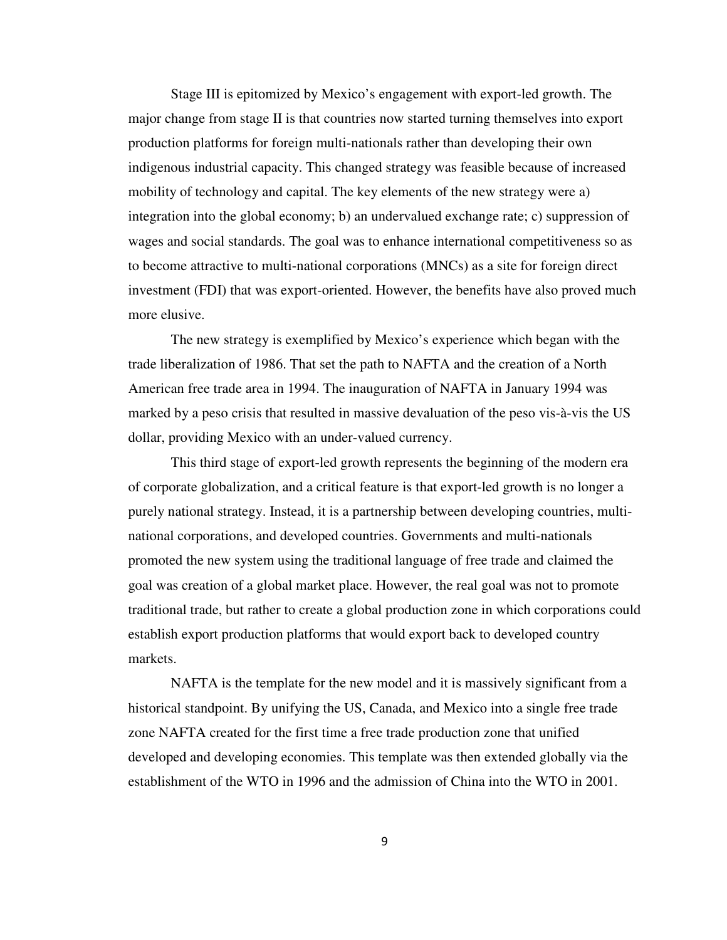Stage III is epitomized by Mexico's engagement with export-led growth. The major change from stage II is that countries now started turning themselves into export production platforms for foreign multi-nationals rather than developing their own indigenous industrial capacity. This changed strategy was feasible because of increased mobility of technology and capital. The key elements of the new strategy were a) integration into the global economy; b) an undervalued exchange rate; c) suppression of wages and social standards. The goal was to enhance international competitiveness so as to become attractive to multi-national corporations (MNCs) as a site for foreign direct investment (FDI) that was export-oriented. However, the benefits have also proved much more elusive.

 The new strategy is exemplified by Mexico's experience which began with the trade liberalization of 1986. That set the path to NAFTA and the creation of a North American free trade area in 1994. The inauguration of NAFTA in January 1994 was marked by a peso crisis that resulted in massive devaluation of the peso vis-à-vis the US dollar, providing Mexico with an under-valued currency.

 This third stage of export-led growth represents the beginning of the modern era of corporate globalization, and a critical feature is that export-led growth is no longer a purely national strategy. Instead, it is a partnership between developing countries, multinational corporations, and developed countries. Governments and multi-nationals promoted the new system using the traditional language of free trade and claimed the goal was creation of a global market place. However, the real goal was not to promote traditional trade, but rather to create a global production zone in which corporations could establish export production platforms that would export back to developed country markets.

 NAFTA is the template for the new model and it is massively significant from a historical standpoint. By unifying the US, Canada, and Mexico into a single free trade zone NAFTA created for the first time a free trade production zone that unified developed and developing economies. This template was then extended globally via the establishment of the WTO in 1996 and the admission of China into the WTO in 2001.

9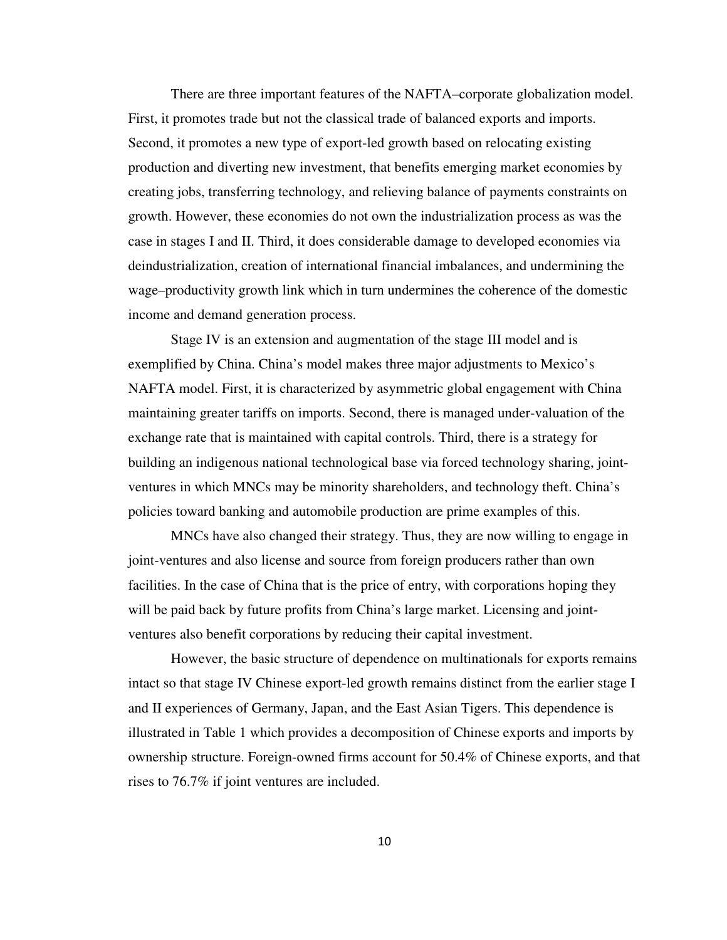There are three important features of the NAFTA–corporate globalization model. First, it promotes trade but not the classical trade of balanced exports and imports. Second, it promotes a new type of export-led growth based on relocating existing production and diverting new investment, that benefits emerging market economies by creating jobs, transferring technology, and relieving balance of payments constraints on growth. However, these economies do not own the industrialization process as was the case in stages I and II. Third, it does considerable damage to developed economies via deindustrialization, creation of international financial imbalances, and undermining the wage–productivity growth link which in turn undermines the coherence of the domestic income and demand generation process.

 Stage IV is an extension and augmentation of the stage III model and is exemplified by China. China's model makes three major adjustments to Mexico's NAFTA model. First, it is characterized by asymmetric global engagement with China maintaining greater tariffs on imports. Second, there is managed under-valuation of the exchange rate that is maintained with capital controls. Third, there is a strategy for building an indigenous national technological base via forced technology sharing, jointventures in which MNCs may be minority shareholders, and technology theft. China's policies toward banking and automobile production are prime examples of this.

 MNCs have also changed their strategy. Thus, they are now willing to engage in joint-ventures and also license and source from foreign producers rather than own facilities. In the case of China that is the price of entry, with corporations hoping they will be paid back by future profits from China's large market. Licensing and jointventures also benefit corporations by reducing their capital investment.

 However, the basic structure of dependence on multinationals for exports remains intact so that stage IV Chinese export-led growth remains distinct from the earlier stage I and II experiences of Germany, Japan, and the East Asian Tigers. This dependence is illustrated in Table 1 which provides a decomposition of Chinese exports and imports by ownership structure. Foreign-owned firms account for 50.4% of Chinese exports, and that rises to 76.7% if joint ventures are included.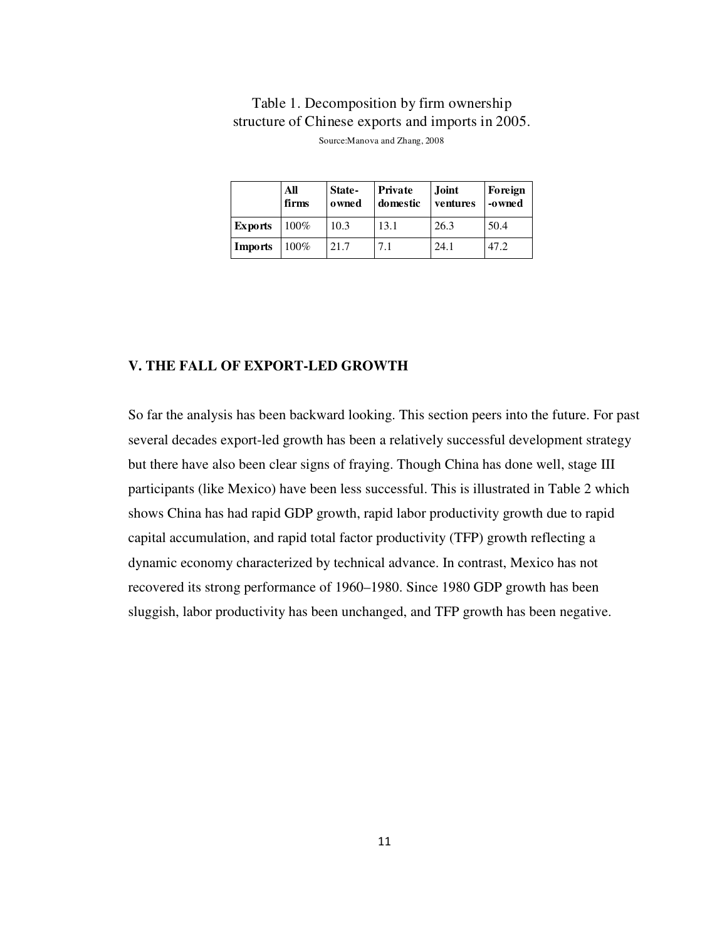## Table 1. Decomposition by firm ownership structure of Chinese exports and imports in 2005.

|                | All<br>firms | <b>State-</b><br>owned | Private<br>domestic | Joint<br>ventures | Foreign<br>-o wned |
|----------------|--------------|------------------------|---------------------|-------------------|--------------------|
| <b>Exports</b> | $100\%$      | 10.3                   | 13.1                | 26.3              | 50.4               |
| <b>Imports</b> | 100%         | 21.7                   | 7.1                 | 24.1              | 47.2               |

Source:Manova and Zhang, 2008

## **V. THE FALL OF EXPORT-LED GROWTH**

So far the analysis has been backward looking. This section peers into the future. For past several decades export-led growth has been a relatively successful development strategy but there have also been clear signs of fraying. Though China has done well, stage III participants (like Mexico) have been less successful. This is illustrated in Table 2 which shows China has had rapid GDP growth, rapid labor productivity growth due to rapid capital accumulation, and rapid total factor productivity (TFP) growth reflecting a dynamic economy characterized by technical advance. In contrast, Mexico has not recovered its strong performance of 1960–1980. Since 1980 GDP growth has been sluggish, labor productivity has been unchanged, and TFP growth has been negative.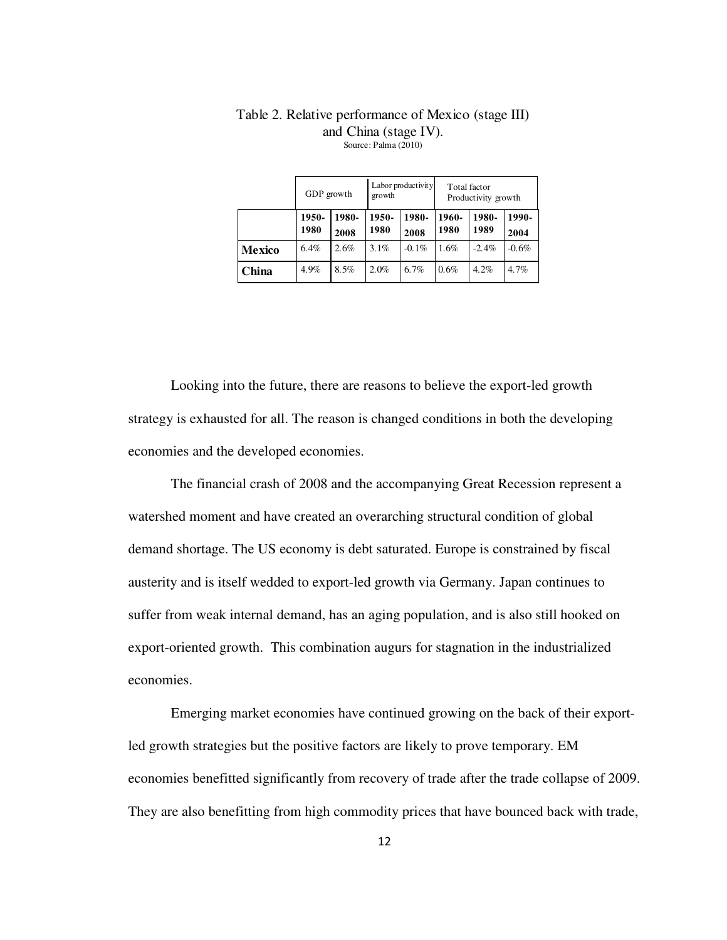|        | GDP growth    |               | Labor productivity<br>growth |               | Total factor<br>Productivity growth |               |               |
|--------|---------------|---------------|------------------------------|---------------|-------------------------------------|---------------|---------------|
|        | 1950-<br>1980 | 1980-<br>2008 | 1950-<br>1980                | 1980-<br>2008 | 1960-<br>1980                       | 1980-<br>1989 | 1990-<br>2004 |
| Mexico | $6.4\%$       | 2.6%          | 3.1%                         | $-0.1%$       | 1.6%                                | $-2.4\%$      | $-0.6%$       |
| China  | 4.9%          | 8.5%          | 2.0%                         | 6.7%          | 0.6%                                | 4.2%          | 4.7%          |

### Table 2. Relative performance of Mexico (stage III) and China (stage IV). Source: Palma (2010)

 Looking into the future, there are reasons to believe the export-led growth strategy is exhausted for all. The reason is changed conditions in both the developing economies and the developed economies.

 The financial crash of 2008 and the accompanying Great Recession represent a watershed moment and have created an overarching structural condition of global demand shortage. The US economy is debt saturated. Europe is constrained by fiscal austerity and is itself wedded to export-led growth via Germany. Japan continues to suffer from weak internal demand, has an aging population, and is also still hooked on export-oriented growth. This combination augurs for stagnation in the industrialized economies.

 Emerging market economies have continued growing on the back of their exportled growth strategies but the positive factors are likely to prove temporary. EM economies benefitted significantly from recovery of trade after the trade collapse of 2009. They are also benefitting from high commodity prices that have bounced back with trade,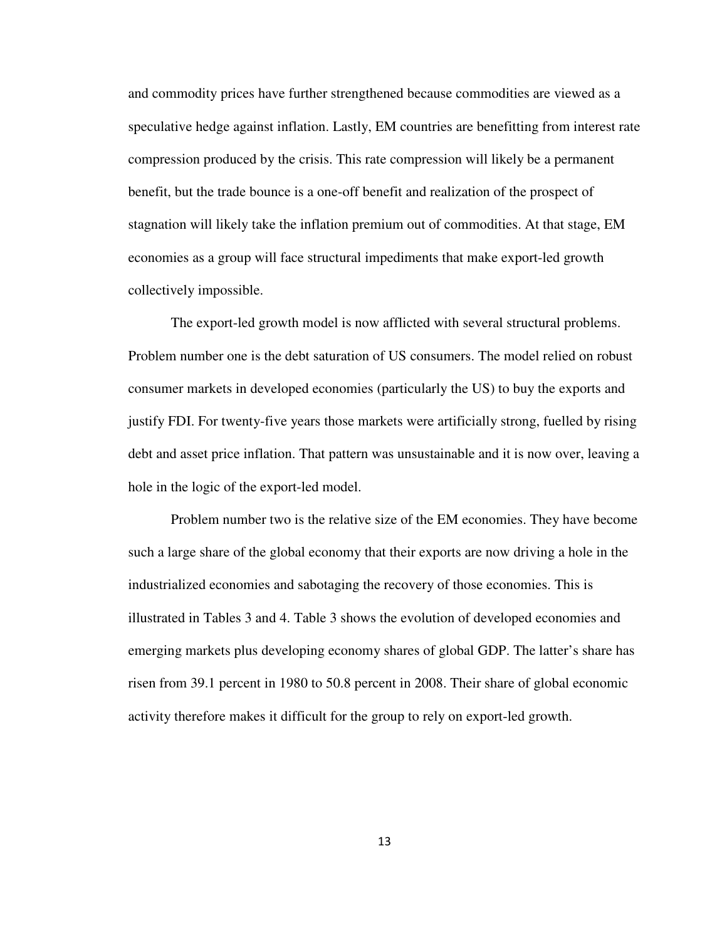and commodity prices have further strengthened because commodities are viewed as a speculative hedge against inflation. Lastly, EM countries are benefitting from interest rate compression produced by the crisis. This rate compression will likely be a permanent benefit, but the trade bounce is a one-off benefit and realization of the prospect of stagnation will likely take the inflation premium out of commodities. At that stage, EM economies as a group will face structural impediments that make export-led growth collectively impossible.

 The export-led growth model is now afflicted with several structural problems. Problem number one is the debt saturation of US consumers. The model relied on robust consumer markets in developed economies (particularly the US) to buy the exports and justify FDI. For twenty-five years those markets were artificially strong, fuelled by rising debt and asset price inflation. That pattern was unsustainable and it is now over, leaving a hole in the logic of the export-led model.

 Problem number two is the relative size of the EM economies. They have become such a large share of the global economy that their exports are now driving a hole in the industrialized economies and sabotaging the recovery of those economies. This is illustrated in Tables 3 and 4. Table 3 shows the evolution of developed economies and emerging markets plus developing economy shares of global GDP. The latter's share has risen from 39.1 percent in 1980 to 50.8 percent in 2008. Their share of global economic activity therefore makes it difficult for the group to rely on export-led growth.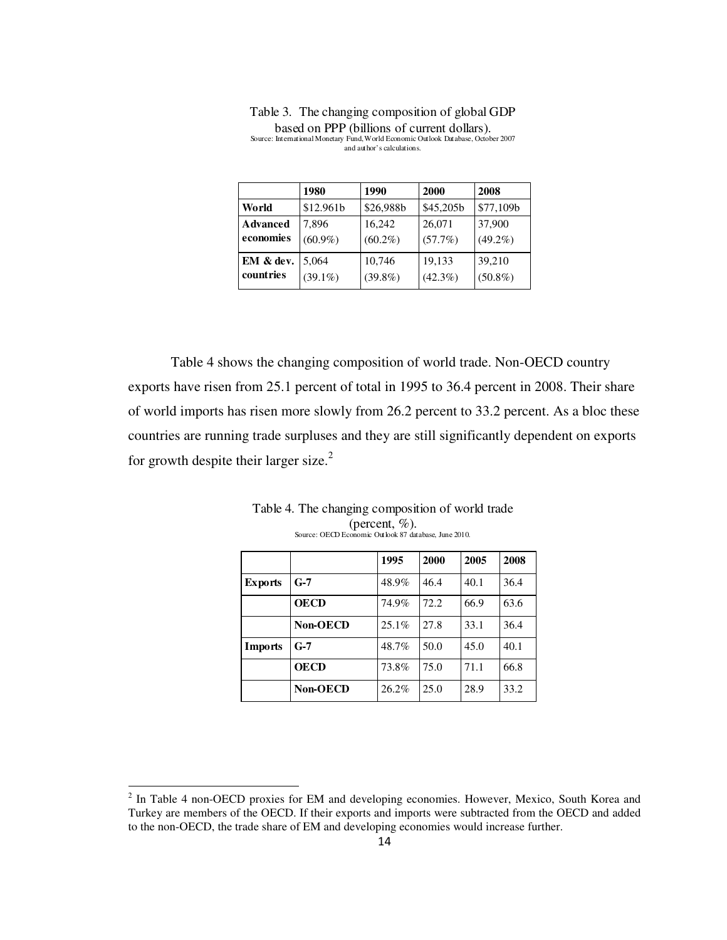|                 | 1980       | 1990       | 2000       | 2008       |
|-----------------|------------|------------|------------|------------|
| World           | \$12.961b  | \$26,988b  | \$45,205b  | \$77,109b  |
| <b>Advanced</b> | 7,896      | 16,242     | 26,071     | 37,900     |
| economies       | $(60.9\%)$ | $(60.2\%)$ | (57.7%)    | $(49.2\%)$ |
| EM & dev.       | 5.064      | 10,746     | 19,133     | 39,210     |
| countries       | $(39.1\%)$ | $(39.8\%)$ | $(42.3\%)$ | $(50.8\%)$ |

|                                                                                    | Table 3. The changing composition of global GDP |  |  |  |  |
|------------------------------------------------------------------------------------|-------------------------------------------------|--|--|--|--|
|                                                                                    | based on PPP (billions of current dollars).     |  |  |  |  |
| Source: International Monetary Fund, World Economic Outlook Database, October 2007 |                                                 |  |  |  |  |
| and author's calculations.                                                         |                                                 |  |  |  |  |

 Table 4 shows the changing composition of world trade. Non-OECD country exports have risen from 25.1 percent of total in 1995 to 36.4 percent in 2008. Their share of world imports has risen more slowly from 26.2 percent to 33.2 percent. As a bloc these countries are running trade surpluses and they are still significantly dependent on exports for growth despite their larger size. $2$ 

|                |                 | 1995     | 2000 | 2005 | 2008 |
|----------------|-----------------|----------|------|------|------|
| <b>Exports</b> | $G-7$           | 48.9%    | 46.4 | 40.1 | 36.4 |
|                | <b>OECD</b>     | 74.9%    | 72.2 | 66.9 | 63.6 |
|                | Non-OECD        | $25.1\%$ | 27.8 | 33.1 | 36.4 |
| Imports        | $G-7$           | 48.7%    | 50.0 | 45.0 | 40.1 |
|                | <b>OECD</b>     | 73.8%    | 75.0 | 71.1 | 66.8 |
|                | <b>Non-OECD</b> | 26.2%    | 25.0 | 28.9 | 33.2 |

Table 4. The changing composition of world trade (**percent**,  $\%$ ).<br>Source: OECD Economic Outlook 87 database, June 2010.

 $\overline{a}$ 

<sup>&</sup>lt;sup>2</sup> In Table 4 non-OECD proxies for EM and developing economies. However, Mexico, South Korea and Turkey are members of the OECD. If their exports and imports were subtracted from the OECD and added to the non-OECD, the trade share of EM and developing economies would increase further.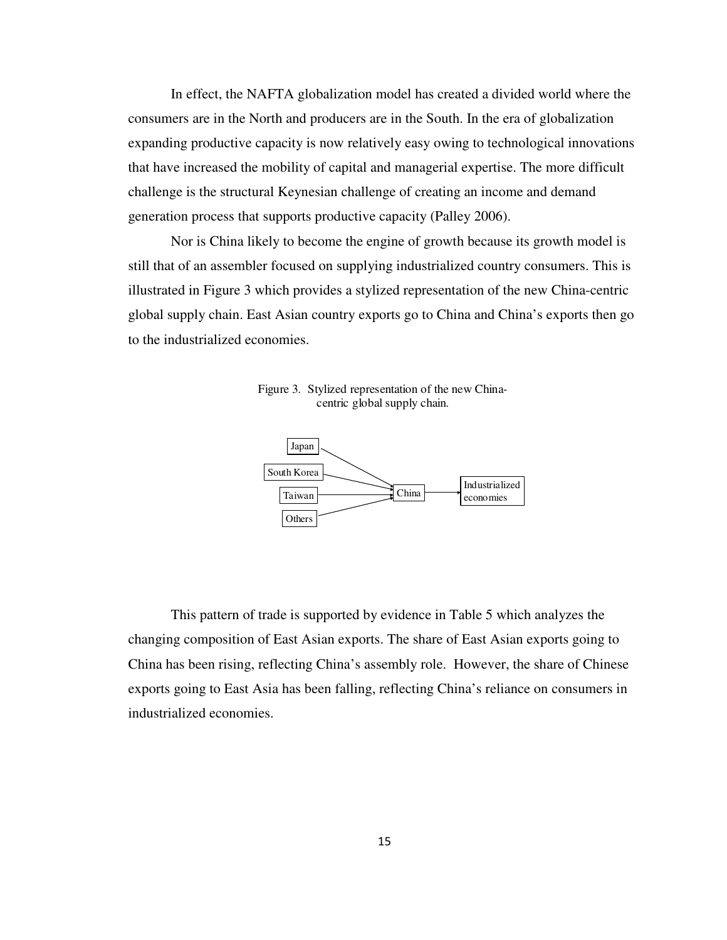In effect, the NAFTA globalization model has created a divided world where the consumers are in the North and producers are in the South. In the era of globalization expanding productive capacity is now relatively easy owing to technological innovations that have increased the mobility of capital and managerial expertise. The more difficult challenge is the structural Keynesian challenge of creating an income and demand generation process that supports productive capacity (Palley 2006).

 Nor is China likely to become the engine of growth because its growth model is still that of an assembler focused on supplying industrialized country consumers. This is illustrated in Figure 3 which provides a stylized representation of the new China-centric global supply chain. East Asian country exports go to China and China's exports then go to the industrialized economies.

Figure 3. Stylized representation of the new Chinacentric global supply chain.



 This pattern of trade is supported by evidence in Table 5 which analyzes the changing composition of East Asian exports. The share of East Asian exports going to China has been rising, reflecting China's assembly role. However, the share of Chinese exports going to East Asia has been falling, reflecting China's reliance on consumers in industrialized economies.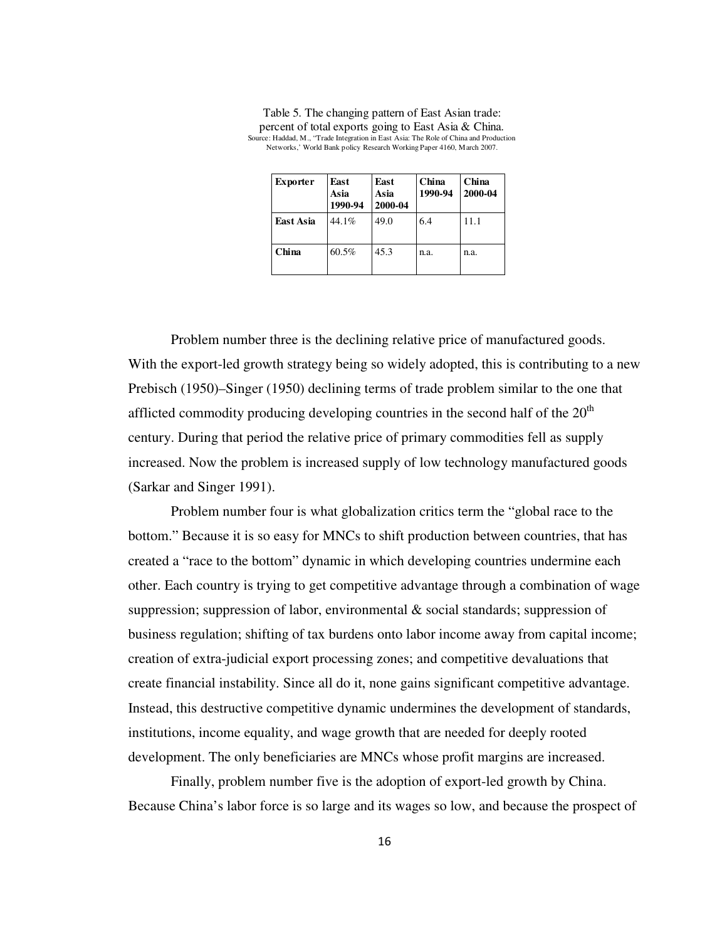| <b>Exporter</b> | East<br>Asia<br>1990-94 | East<br>Asia<br>2000-04 | China<br>1990-94 | China<br>2000-04 |
|-----------------|-------------------------|-------------------------|------------------|------------------|
| East Asia       | 44.1%                   | 49.0                    | 6.4              | 11.1             |
| China           | 60.5%                   | 45.3                    | n.a.             | n.a.             |

Table 5. The changing pattern of East Asian trade: percent of total exports going to East Asia & China. Source: Haddad, M., "Trade Integration in East Asia: The Role of China and Production Networks,' World Bank policy Research Working Paper 4160, March 2007.

Problem number three is the declining relative price of manufactured goods. With the export-led growth strategy being so widely adopted, this is contributing to a new Prebisch (1950)–Singer (1950) declining terms of trade problem similar to the one that afflicted commodity producing developing countries in the second half of the  $20<sup>th</sup>$ century. During that period the relative price of primary commodities fell as supply increased. Now the problem is increased supply of low technology manufactured goods (Sarkar and Singer 1991).

 Problem number four is what globalization critics term the "global race to the bottom." Because it is so easy for MNCs to shift production between countries, that has created a "race to the bottom" dynamic in which developing countries undermine each other. Each country is trying to get competitive advantage through a combination of wage suppression; suppression of labor, environmental & social standards; suppression of business regulation; shifting of tax burdens onto labor income away from capital income; creation of extra-judicial export processing zones; and competitive devaluations that create financial instability. Since all do it, none gains significant competitive advantage. Instead, this destructive competitive dynamic undermines the development of standards, institutions, income equality, and wage growth that are needed for deeply rooted development. The only beneficiaries are MNCs whose profit margins are increased.

 Finally, problem number five is the adoption of export-led growth by China. Because China's labor force is so large and its wages so low, and because the prospect of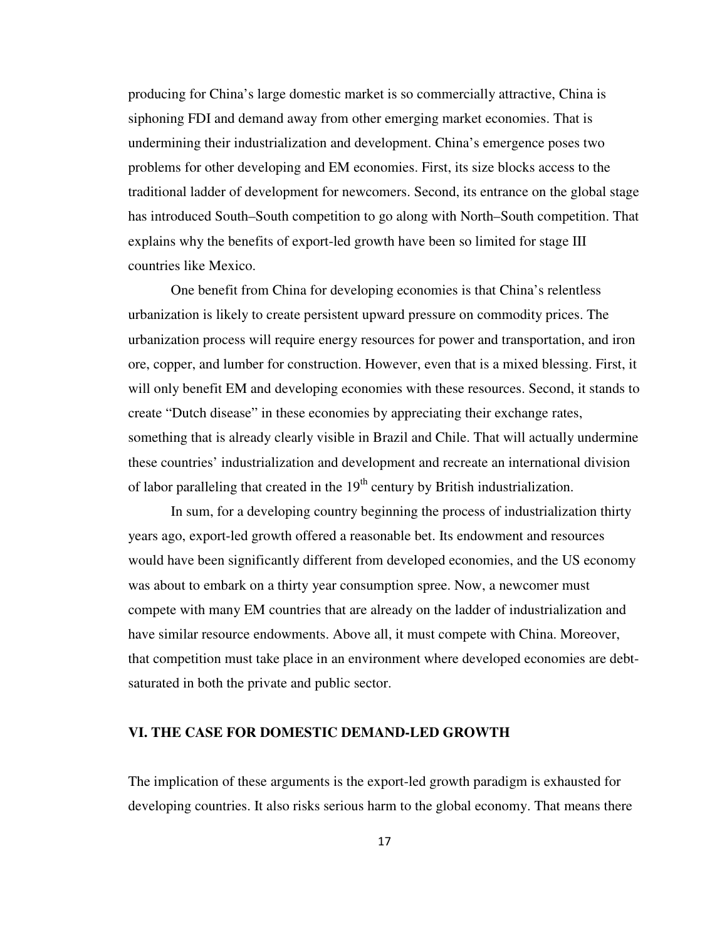producing for China's large domestic market is so commercially attractive, China is siphoning FDI and demand away from other emerging market economies. That is undermining their industrialization and development. China's emergence poses two problems for other developing and EM economies. First, its size blocks access to the traditional ladder of development for newcomers. Second, its entrance on the global stage has introduced South–South competition to go along with North–South competition. That explains why the benefits of export-led growth have been so limited for stage III countries like Mexico.

 One benefit from China for developing economies is that China's relentless urbanization is likely to create persistent upward pressure on commodity prices. The urbanization process will require energy resources for power and transportation, and iron ore, copper, and lumber for construction. However, even that is a mixed blessing. First, it will only benefit EM and developing economies with these resources. Second, it stands to create "Dutch disease" in these economies by appreciating their exchange rates, something that is already clearly visible in Brazil and Chile. That will actually undermine these countries' industrialization and development and recreate an international division of labor paralleling that created in the  $19<sup>th</sup>$  century by British industrialization.

 In sum, for a developing country beginning the process of industrialization thirty years ago, export-led growth offered a reasonable bet. Its endowment and resources would have been significantly different from developed economies, and the US economy was about to embark on a thirty year consumption spree. Now, a newcomer must compete with many EM countries that are already on the ladder of industrialization and have similar resource endowments. Above all, it must compete with China. Moreover, that competition must take place in an environment where developed economies are debtsaturated in both the private and public sector.

## **VI. THE CASE FOR DOMESTIC DEMAND-LED GROWTH**

The implication of these arguments is the export-led growth paradigm is exhausted for developing countries. It also risks serious harm to the global economy. That means there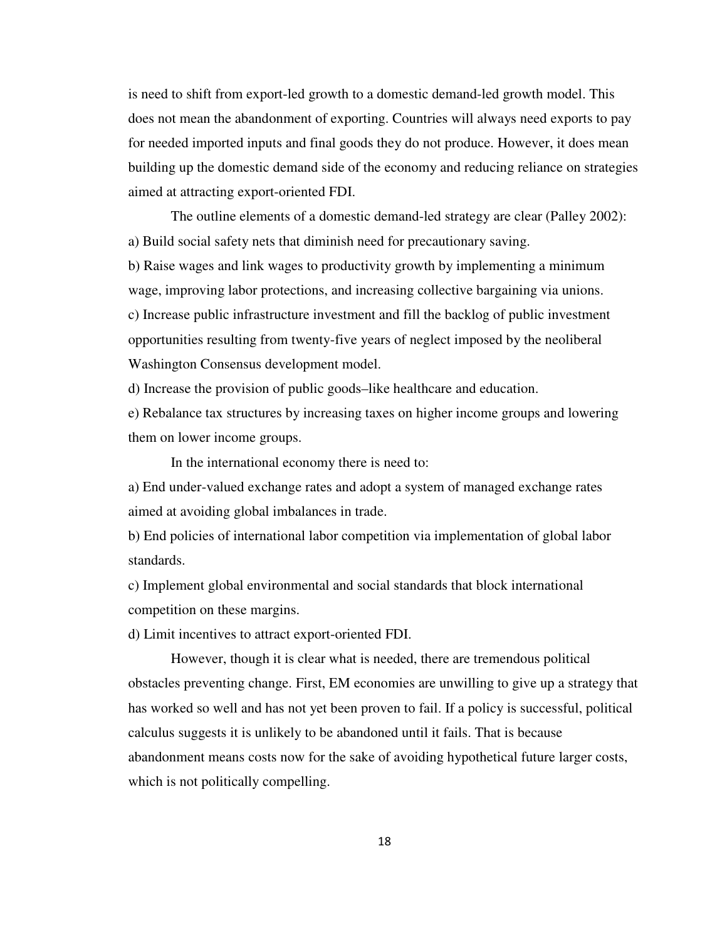is need to shift from export-led growth to a domestic demand-led growth model. This does not mean the abandonment of exporting. Countries will always need exports to pay for needed imported inputs and final goods they do not produce. However, it does mean building up the domestic demand side of the economy and reducing reliance on strategies aimed at attracting export-oriented FDI.

 The outline elements of a domestic demand-led strategy are clear (Palley 2002): a) Build social safety nets that diminish need for precautionary saving.

b) Raise wages and link wages to productivity growth by implementing a minimum wage, improving labor protections, and increasing collective bargaining via unions. c) Increase public infrastructure investment and fill the backlog of public investment

opportunities resulting from twenty-five years of neglect imposed by the neoliberal Washington Consensus development model.

d) Increase the provision of public goods–like healthcare and education.

e) Rebalance tax structures by increasing taxes on higher income groups and lowering them on lower income groups.

In the international economy there is need to:

a) End under-valued exchange rates and adopt a system of managed exchange rates aimed at avoiding global imbalances in trade.

b) End policies of international labor competition via implementation of global labor standards.

c) Implement global environmental and social standards that block international competition on these margins.

d) Limit incentives to attract export-oriented FDI.

 However, though it is clear what is needed, there are tremendous political obstacles preventing change. First, EM economies are unwilling to give up a strategy that has worked so well and has not yet been proven to fail. If a policy is successful, political calculus suggests it is unlikely to be abandoned until it fails. That is because abandonment means costs now for the sake of avoiding hypothetical future larger costs, which is not politically compelling.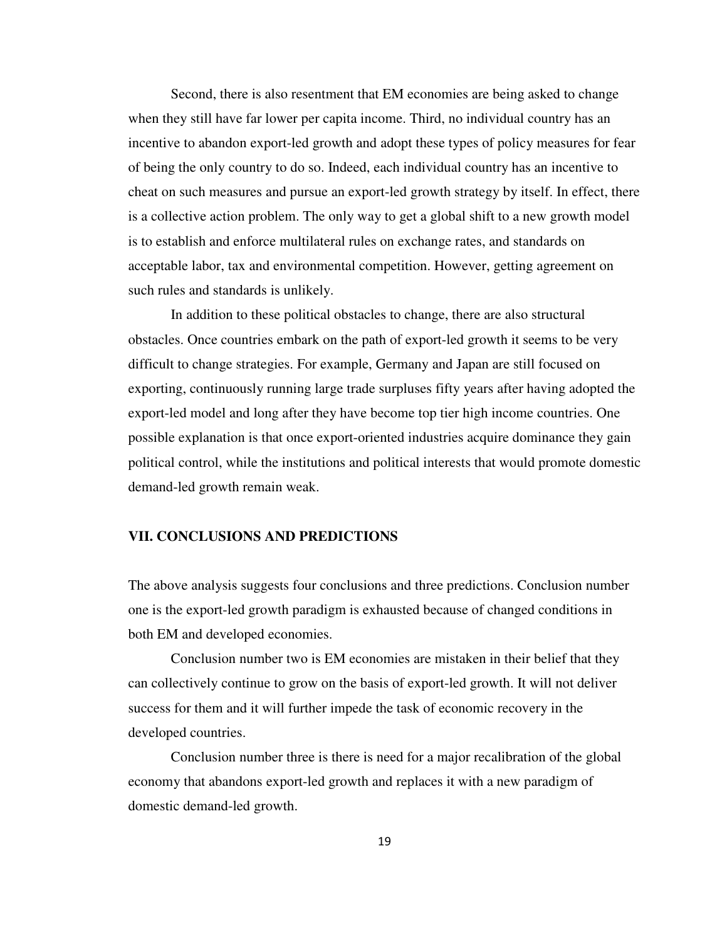Second, there is also resentment that EM economies are being asked to change when they still have far lower per capita income. Third, no individual country has an incentive to abandon export-led growth and adopt these types of policy measures for fear of being the only country to do so. Indeed, each individual country has an incentive to cheat on such measures and pursue an export-led growth strategy by itself. In effect, there is a collective action problem. The only way to get a global shift to a new growth model is to establish and enforce multilateral rules on exchange rates, and standards on acceptable labor, tax and environmental competition. However, getting agreement on such rules and standards is unlikely.

 In addition to these political obstacles to change, there are also structural obstacles. Once countries embark on the path of export-led growth it seems to be very difficult to change strategies. For example, Germany and Japan are still focused on exporting, continuously running large trade surpluses fifty years after having adopted the export-led model and long after they have become top tier high income countries. One possible explanation is that once export-oriented industries acquire dominance they gain political control, while the institutions and political interests that would promote domestic demand-led growth remain weak.

### **VII. CONCLUSIONS AND PREDICTIONS**

The above analysis suggests four conclusions and three predictions. Conclusion number one is the export-led growth paradigm is exhausted because of changed conditions in both EM and developed economies.

 Conclusion number two is EM economies are mistaken in their belief that they can collectively continue to grow on the basis of export-led growth. It will not deliver success for them and it will further impede the task of economic recovery in the developed countries.

 Conclusion number three is there is need for a major recalibration of the global economy that abandons export-led growth and replaces it with a new paradigm of domestic demand-led growth.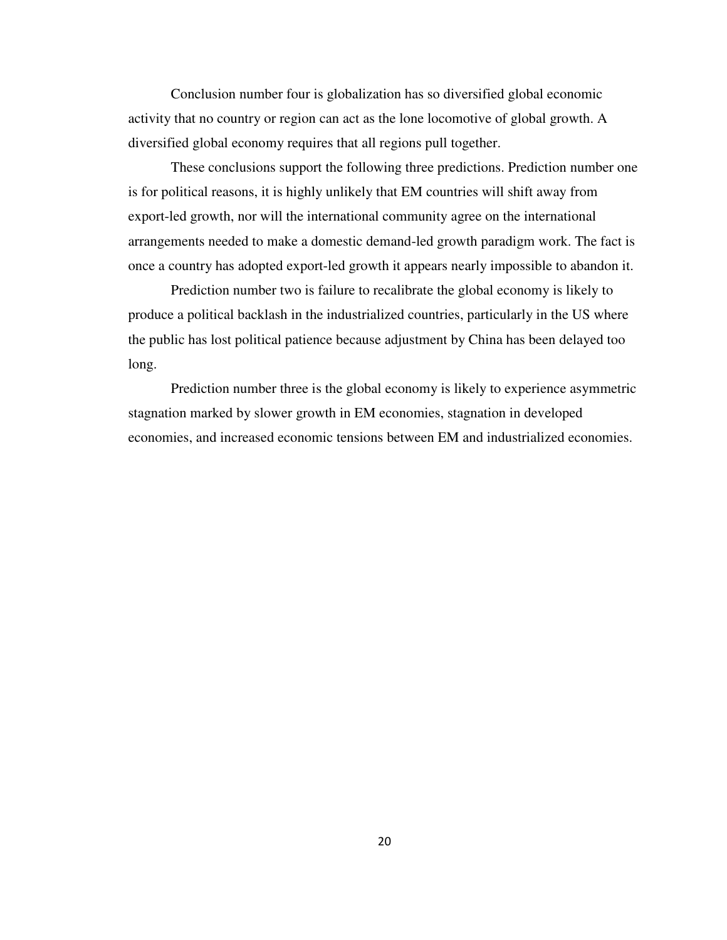Conclusion number four is globalization has so diversified global economic activity that no country or region can act as the lone locomotive of global growth. A diversified global economy requires that all regions pull together.

 These conclusions support the following three predictions. Prediction number one is for political reasons, it is highly unlikely that EM countries will shift away from export-led growth, nor will the international community agree on the international arrangements needed to make a domestic demand-led growth paradigm work. The fact is once a country has adopted export-led growth it appears nearly impossible to abandon it.

 Prediction number two is failure to recalibrate the global economy is likely to produce a political backlash in the industrialized countries, particularly in the US where the public has lost political patience because adjustment by China has been delayed too long.

 Prediction number three is the global economy is likely to experience asymmetric stagnation marked by slower growth in EM economies, stagnation in developed economies, and increased economic tensions between EM and industrialized economies.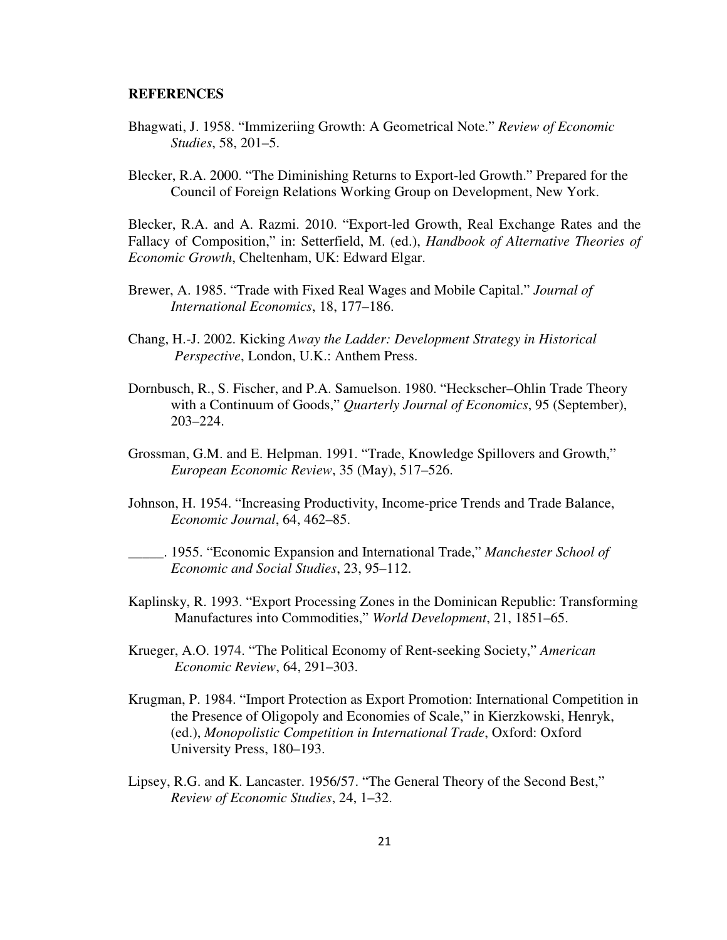#### **REFERENCES**

- Bhagwati, J. 1958. "Immizeriing Growth: A Geometrical Note." *Review of Economic Studies*, 58, 201–5.
- Blecker, R.A. 2000. "The Diminishing Returns to Export-led Growth." Prepared for the Council of Foreign Relations Working Group on Development, New York.

Blecker, R.A. and A. Razmi. 2010. "Export-led Growth, Real Exchange Rates and the Fallacy of Composition," in: Setterfield, M. (ed.), *Handbook of Alternative Theories of Economic Growth*, Cheltenham, UK: Edward Elgar.

- Brewer, A. 1985. "Trade with Fixed Real Wages and Mobile Capital." *Journal of International Economics*, 18, 177–186.
- Chang, H.-J. 2002. Kicking *Away the Ladder: Development Strategy in Historical Perspective*, London, U.K.: Anthem Press.
- Dornbusch, R., S. Fischer, and P.A. Samuelson. 1980. "Heckscher–Ohlin Trade Theory with a Continuum of Goods," *Quarterly Journal of Economics*, 95 (September), 203–224.
- Grossman, G.M. and E. Helpman. 1991. "Trade, Knowledge Spillovers and Growth," *European Economic Review*, 35 (May), 517–526.
- Johnson, H. 1954. "Increasing Productivity, Income-price Trends and Trade Balance, *Economic Journal*, 64, 462–85.

\_\_\_\_\_. 1955. "Economic Expansion and International Trade," *Manchester School of Economic and Social Studies*, 23, 95–112.

- Kaplinsky, R. 1993. "Export Processing Zones in the Dominican Republic: Transforming Manufactures into Commodities," *World Development*, 21, 1851–65.
- Krueger, A.O. 1974. "The Political Economy of Rent-seeking Society," *American Economic Review*, 64, 291–303.
- Krugman, P. 1984. "Import Protection as Export Promotion: International Competition in the Presence of Oligopoly and Economies of Scale," in Kierzkowski, Henryk, (ed.), *Monopolistic Competition in International Trade*, Oxford: Oxford University Press, 180–193.
- Lipsey, R.G. and K. Lancaster. 1956/57. "The General Theory of the Second Best," *Review of Economic Studies*, 24, 1–32.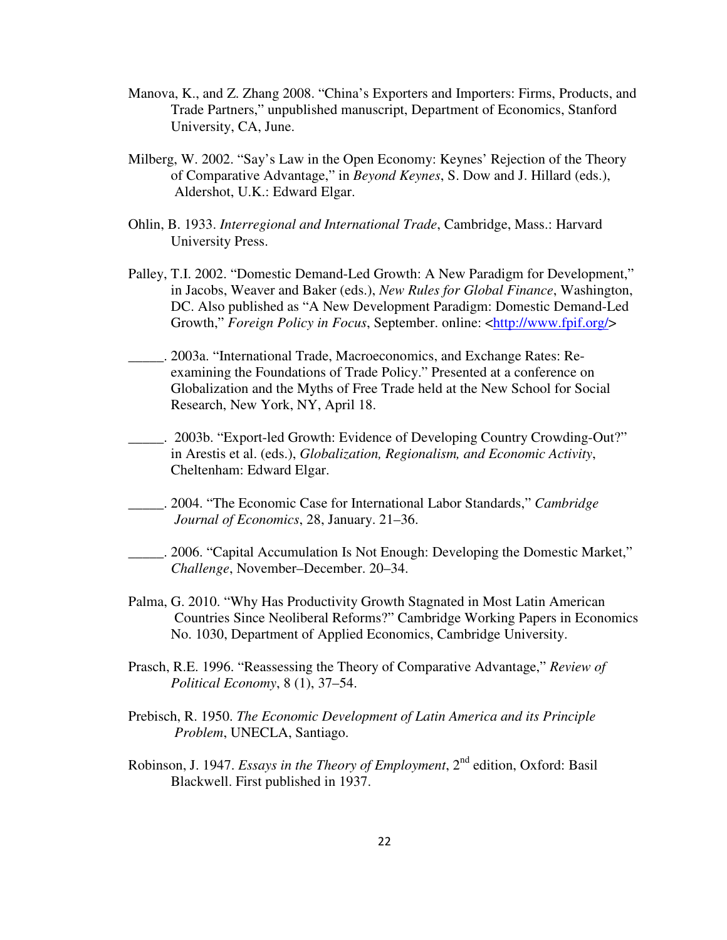- Manova, K., and Z. Zhang 2008. "China's Exporters and Importers: Firms, Products, and Trade Partners," unpublished manuscript, Department of Economics, Stanford University, CA, June.
- Milberg, W. 2002. "Say's Law in the Open Economy: Keynes' Rejection of the Theory of Comparative Advantage," in *Beyond Keynes*, S. Dow and J. Hillard (eds.), Aldershot, U.K.: Edward Elgar.
- Ohlin, B. 1933. *Interregional and International Trade*, Cambridge, Mass.: Harvard University Press.
- Palley, T.I. 2002. "Domestic Demand-Led Growth: A New Paradigm for Development," in Jacobs, Weaver and Baker (eds.), *New Rules for Global Finance*, Washington, DC. Also published as "A New Development Paradigm: Domestic Demand-Led Growth," *Foreign Policy in Focus*, September. online: <http://www.fpif.org/>
- \_\_\_\_\_. 2003a. "International Trade, Macroeconomics, and Exchange Rates: Re examining the Foundations of Trade Policy." Presented at a conference on Globalization and the Myths of Free Trade held at the New School for Social Research, New York, NY, April 18.
- . 2003b. "Export-led Growth: Evidence of Developing Country Crowding-Out?" in Arestis et al. (eds.), *Globalization, Regionalism, and Economic Activity*, Cheltenham: Edward Elgar.
- \_\_\_\_\_. 2004. "The Economic Case for International Labor Standards," *Cambridge Journal of Economics*, 28, January. 21–36.
- \_\_\_\_\_. 2006. "Capital Accumulation Is Not Enough: Developing the Domestic Market," *Challenge*, November–December. 20–34.
- Palma, G. 2010. "Why Has Productivity Growth Stagnated in Most Latin American Countries Since Neoliberal Reforms?" Cambridge Working Papers in Economics No. 1030, Department of Applied Economics, Cambridge University.
- Prasch, R.E. 1996. "Reassessing the Theory of Comparative Advantage," *Review of Political Economy*, 8 (1), 37–54.
- Prebisch, R. 1950. *The Economic Development of Latin America and its Principle Problem*, UNECLA, Santiago.
- Robinson, J. 1947. *Essays in the Theory of Employment*, 2nd edition, Oxford: Basil Blackwell. First published in 1937.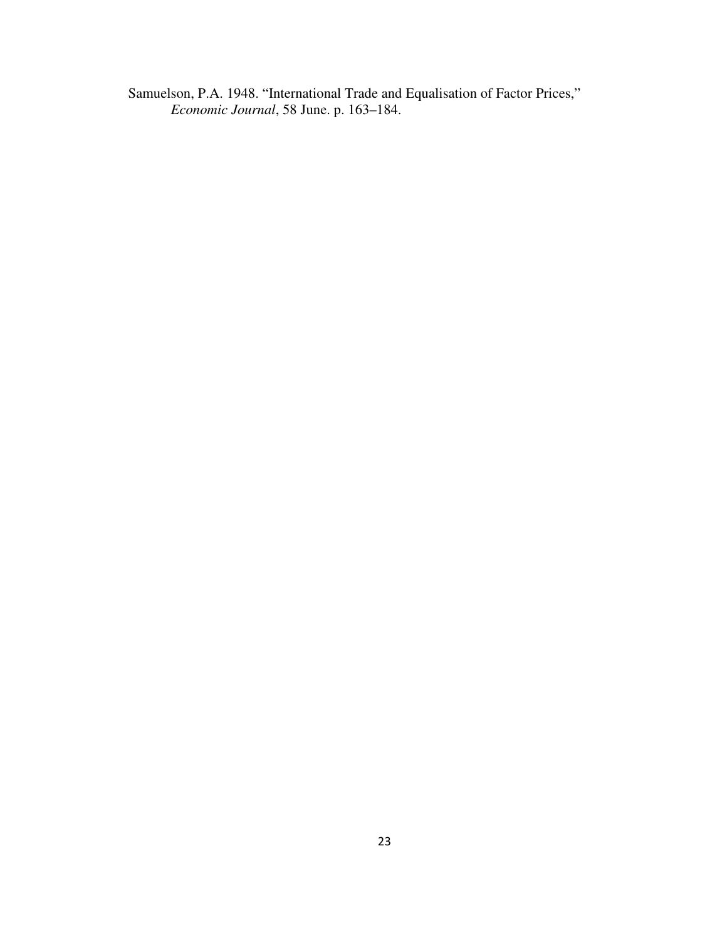Samuelson, P.A. 1948. "International Trade and Equalisation of Factor Prices," *Economic Journal*, 58 June. p. 163–184.